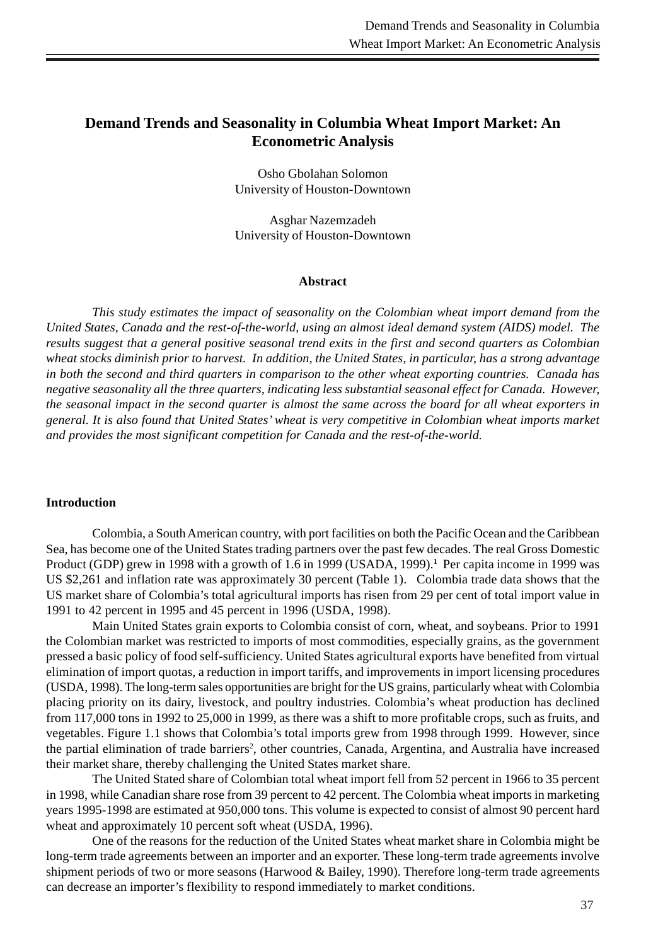# **Demand Trends and Seasonality in Columbia Wheat Import Market: An Econometric Analysis**

Osho Gbolahan Solomon University of Houston-Downtown

Asghar Nazemzadeh University of Houston-Downtown

### **Abstract**

*This study estimates the impact of seasonality on the Colombian wheat import demand from the United States, Canada and the rest-of-the-world, using an almost ideal demand system (AIDS) model. The results suggest that a general positive seasonal trend exits in the first and second quarters as Colombian wheat stocks diminish prior to harvest. In addition, the United States, in particular, has a strong advantage in both the second and third quarters in comparison to the other wheat exporting countries. Canada has negative seasonality all the three quarters, indicating less substantial seasonal effect for Canada. However, the seasonal impact in the second quarter is almost the same across the board for all wheat exporters in general. It is also found that United States' wheat is very competitive in Colombian wheat imports market and provides the most significant competition for Canada and the rest-of-the-world.*

### **Introduction**

Colombia, a South American country, with port facilities on both the Pacific Ocean and the Caribbean Sea, has become one of the United States trading partners over the past few decades. The real Gross Domestic Product (GDP) grew in 1998 with a growth of 1.6 in 1999 (USADA, 1999).**<sup>1</sup>** Per capita income in 1999 was US \$2,261 and inflation rate was approximately 30 percent (Table 1). Colombia trade data shows that the US market share of Colombia's total agricultural imports has risen from 29 per cent of total import value in 1991 to 42 percent in 1995 and 45 percent in 1996 (USDA, 1998).

Main United States grain exports to Colombia consist of corn, wheat, and soybeans. Prior to 1991 the Colombian market was restricted to imports of most commodities, especially grains, as the government pressed a basic policy of food self-sufficiency. United States agricultural exports have benefited from virtual elimination of import quotas, a reduction in import tariffs, and improvements in import licensing procedures (USDA, 1998). The long-term sales opportunities are bright for the US grains, particularly wheat with Colombia placing priority on its dairy, livestock, and poultry industries. Colombia's wheat production has declined from 117,000 tons in 1992 to 25,000 in 1999, as there was a shift to more profitable crops, such as fruits, and vegetables. Figure 1.1 shows that Colombia's total imports grew from 1998 through 1999. However, since the partial elimination of trade barriers<sup>2</sup>, other countries, Canada, Argentina, and Australia have increased their market share, thereby challenging the United States market share.

The United Stated share of Colombian total wheat import fell from 52 percent in 1966 to 35 percent in 1998, while Canadian share rose from 39 percent to 42 percent. The Colombia wheat imports in marketing years 1995-1998 are estimated at 950,000 tons. This volume is expected to consist of almost 90 percent hard wheat and approximately 10 percent soft wheat (USDA, 1996).

One of the reasons for the reduction of the United States wheat market share in Colombia might be long-term trade agreements between an importer and an exporter. These long-term trade agreements involve shipment periods of two or more seasons (Harwood & Bailey, 1990). Therefore long-term trade agreements can decrease an importer's flexibility to respond immediately to market conditions.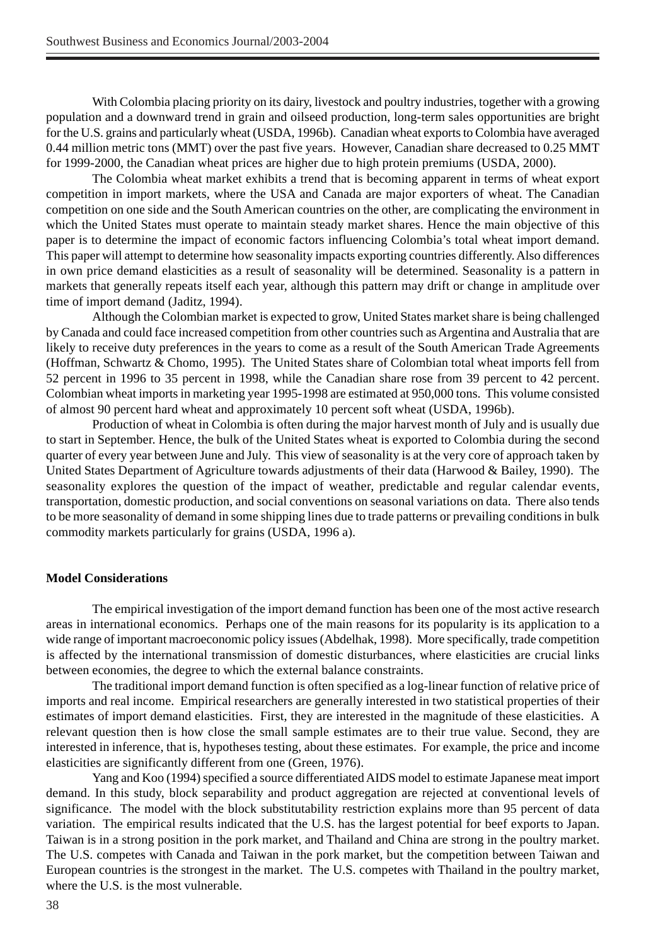With Colombia placing priority on its dairy, livestock and poultry industries, together with a growing population and a downward trend in grain and oilseed production, long-term sales opportunities are bright for the U.S. grains and particularly wheat (USDA, 1996b). Canadian wheat exports to Colombia have averaged 0.44 million metric tons (MMT) over the past five years. However, Canadian share decreased to 0.25 MMT for 1999-2000, the Canadian wheat prices are higher due to high protein premiums (USDA, 2000).

The Colombia wheat market exhibits a trend that is becoming apparent in terms of wheat export competition in import markets, where the USA and Canada are major exporters of wheat. The Canadian competition on one side and the South American countries on the other, are complicating the environment in which the United States must operate to maintain steady market shares. Hence the main objective of this paper is to determine the impact of economic factors influencing Colombia's total wheat import demand. This paper will attempt to determine how seasonality impacts exporting countries differently. Also differences in own price demand elasticities as a result of seasonality will be determined. Seasonality is a pattern in markets that generally repeats itself each year, although this pattern may drift or change in amplitude over time of import demand (Jaditz, 1994).

Although the Colombian market is expected to grow, United States market share is being challenged by Canada and could face increased competition from other countries such as Argentina and Australia that are likely to receive duty preferences in the years to come as a result of the South American Trade Agreements (Hoffman, Schwartz & Chomo, 1995). The United States share of Colombian total wheat imports fell from 52 percent in 1996 to 35 percent in 1998, while the Canadian share rose from 39 percent to 42 percent. Colombian wheat imports in marketing year 1995-1998 are estimated at 950,000 tons. This volume consisted of almost 90 percent hard wheat and approximately 10 percent soft wheat (USDA, 1996b).

Production of wheat in Colombia is often during the major harvest month of July and is usually due to start in September. Hence, the bulk of the United States wheat is exported to Colombia during the second quarter of every year between June and July. This view of seasonality is at the very core of approach taken by United States Department of Agriculture towards adjustments of their data (Harwood & Bailey, 1990). The seasonality explores the question of the impact of weather, predictable and regular calendar events, transportation, domestic production, and social conventions on seasonal variations on data. There also tends to be more seasonality of demand in some shipping lines due to trade patterns or prevailing conditions in bulk commodity markets particularly for grains (USDA, 1996 a).

### **Model Considerations**

The empirical investigation of the import demand function has been one of the most active research areas in international economics. Perhaps one of the main reasons for its popularity is its application to a wide range of important macroeconomic policy issues (Abdelhak, 1998). More specifically, trade competition is affected by the international transmission of domestic disturbances, where elasticities are crucial links between economies, the degree to which the external balance constraints.

The traditional import demand function is often specified as a log-linear function of relative price of imports and real income. Empirical researchers are generally interested in two statistical properties of their estimates of import demand elasticities. First, they are interested in the magnitude of these elasticities. A relevant question then is how close the small sample estimates are to their true value. Second, they are interested in inference, that is, hypotheses testing, about these estimates. For example, the price and income elasticities are significantly different from one (Green, 1976).

Yang and Koo (1994) specified a source differentiated AIDS model to estimate Japanese meat import demand. In this study, block separability and product aggregation are rejected at conventional levels of significance. The model with the block substitutability restriction explains more than 95 percent of data variation. The empirical results indicated that the U.S. has the largest potential for beef exports to Japan. Taiwan is in a strong position in the pork market, and Thailand and China are strong in the poultry market. The U.S. competes with Canada and Taiwan in the pork market, but the competition between Taiwan and European countries is the strongest in the market. The U.S. competes with Thailand in the poultry market, where the U.S. is the most vulnerable.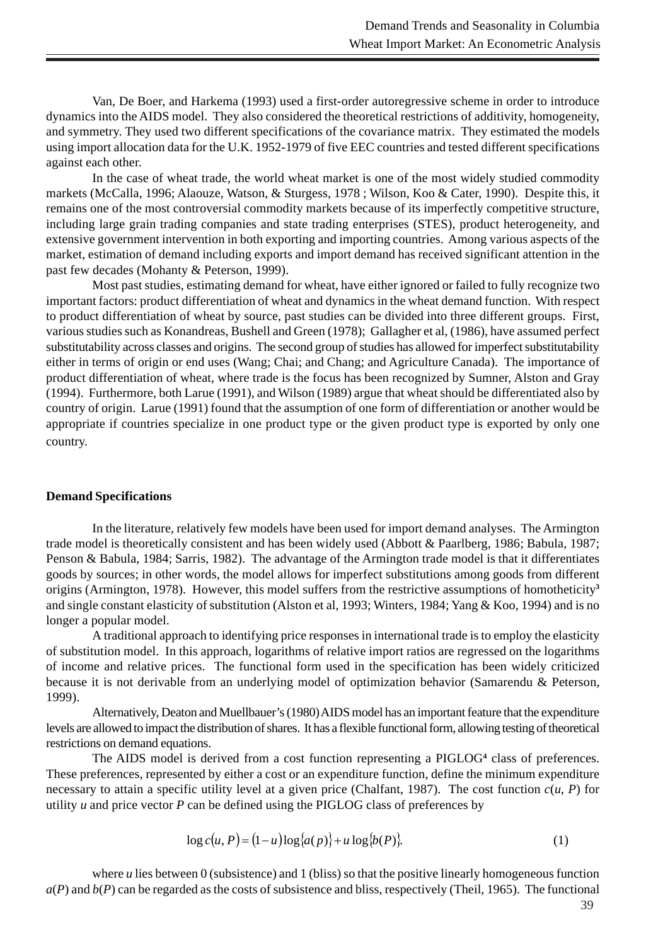Van, De Boer, and Harkema (1993) used a first-order autoregressive scheme in order to introduce dynamics into the AIDS model. They also considered the theoretical restrictions of additivity, homogeneity, and symmetry. They used two different specifications of the covariance matrix. They estimated the models using import allocation data for the U.K. 1952-1979 of five EEC countries and tested different specifications against each other.

In the case of wheat trade, the world wheat market is one of the most widely studied commodity markets (McCalla, 1996; Alaouze, Watson, & Sturgess, 1978 ; Wilson, Koo & Cater, 1990). Despite this, it remains one of the most controversial commodity markets because of its imperfectly competitive structure, including large grain trading companies and state trading enterprises (STES), product heterogeneity, and extensive government intervention in both exporting and importing countries. Among various aspects of the market, estimation of demand including exports and import demand has received significant attention in the past few decades (Mohanty & Peterson, 1999).

Most past studies, estimating demand for wheat, have either ignored or failed to fully recognize two important factors: product differentiation of wheat and dynamics in the wheat demand function. With respect to product differentiation of wheat by source, past studies can be divided into three different groups. First, various studies such as Konandreas, Bushell and Green (1978); Gallagher et al, (1986), have assumed perfect substitutability across classes and origins. The second group of studies has allowed for imperfect substitutability either in terms of origin or end uses (Wang; Chai; and Chang; and Agriculture Canada). The importance of product differentiation of wheat, where trade is the focus has been recognized by Sumner, Alston and Gray (1994). Furthermore, both Larue (1991), and Wilson (1989) argue that wheat should be differentiated also by country of origin. Larue (1991) found that the assumption of one form of differentiation or another would be appropriate if countries specialize in one product type or the given product type is exported by only one country.

### **Demand Specifications**

In the literature, relatively few models have been used for import demand analyses. The Armington trade model is theoretically consistent and has been widely used (Abbott & Paarlberg, 1986; Babula, 1987; Penson & Babula, 1984; Sarris, 1982). The advantage of the Armington trade model is that it differentiates goods by sources; in other words, the model allows for imperfect substitutions among goods from different origins (Armington, 1978). However, this model suffers from the restrictive assumptions of homotheticity**<sup>3</sup>** and single constant elasticity of substitution (Alston et al, 1993; Winters, 1984; Yang & Koo, 1994) and is no longer a popular model.

A traditional approach to identifying price responses in international trade is to employ the elasticity of substitution model. In this approach, logarithms of relative import ratios are regressed on the logarithms of income and relative prices. The functional form used in the specification has been widely criticized because it is not derivable from an underlying model of optimization behavior (Samarendu & Peterson, 1999).

Alternatively, Deaton and Muellbauer's (1980) AIDS model has an important feature that the expenditure levels are allowed to impact the distribution of shares. It has a flexible functional form, allowing testing of theoretical restrictions on demand equations.

The AIDS model is derived from a cost function representing a PIGLOG**<sup>4</sup>** class of preferences. These preferences, represented by either a cost or an expenditure function, define the minimum expenditure necessary to attain a specific utility level at a given price (Chalfant, 1987). The cost function  $c(u, P)$  for utility *u* and price vector *P* can be defined using the PIGLOG class of preferences by

$$
\log c(u, P) = (1 - u) \log \{a(p)\} + u \log \{b(P)\}.
$$
 (1)

where *u* lies between 0 (subsistence) and 1 (bliss) so that the positive linearly homogeneous function  $a(P)$  and  $b(P)$  can be regarded as the costs of subsistence and bliss, respectively (Theil, 1965). The functional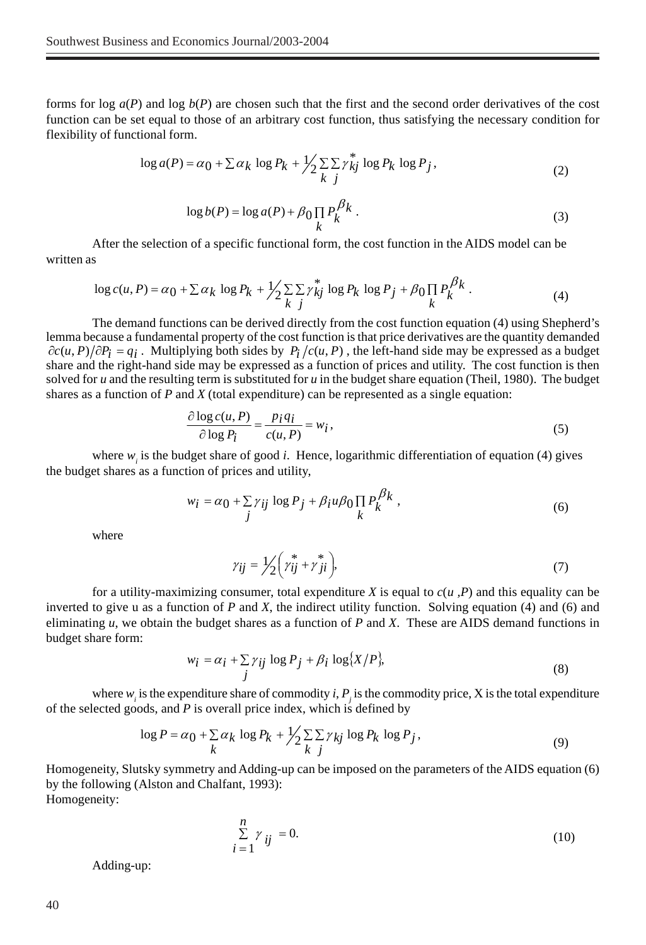forms for log  $a(P)$  and log  $b(P)$  are chosen such that the first and the second order derivatives of the cost function can be set equal to those of an arbitrary cost function, thus satisfying the necessary condition for flexibility of functional form.

$$
\log a(P) = \alpha_0 + \sum \alpha_k \log P_k + \frac{1}{2} \sum_{k} \sum_{j} \gamma_{kj}^* \log P_k \log P_j,
$$
\n(2)

$$
\log b(P) = \log a(P) + \beta \prod_{k} P_k^{\beta_k} . \tag{3}
$$

After the selection of a specific functional form, the cost function in the AIDS model can be written as

$$
\log c(u, P) = \alpha_0 + \sum \alpha_k \log P_k + \frac{1}{2} \sum_{k} \sum_{j} \gamma_{kj}^* \log P_k \log P_j + \beta_0 \prod_{k} P_k^{\beta_k}.
$$
 (4)

The demand functions can be derived directly from the cost function equation (4) using Shepherd's lemma because a fundamental property of the cost function is that price derivatives are the quantity demanded  $\partial c(u, P)/\partial P_i = q_i$ . Multiplying both sides by  $P_i/c(u, P)$ , the left-hand side may be expressed as a budget share and the right-hand side may be expressed as a function of prices and utility. The cost function is then solved for *u* and the resulting term is substituted for *u* in the budget share equation (Theil, 1980). The budget shares as a function of *P* and *X* (total expenditure) can be represented as a single equation:

$$
\frac{\partial \log c(u, P)}{\partial \log P_i} = \frac{p_i q_i}{c(u, P)} = w_i,
$$
\n(5)

where  $w_i$  is the budget share of good *i*. Hence, logarithmic differentiation of equation (4) gives the budget shares as a function of prices and utility,

$$
w_i = \alpha_0 + \sum_j \gamma_{ij} \log P_j + \beta_i u \beta_0 \prod_k P_k^{\beta_k}, \qquad (6)
$$

where

$$
\gamma_{ij} = 1/2 \left( \gamma_{ij}^* + \gamma_{ji}^* \right),\tag{7}
$$

for a utility-maximizing consumer, total expenditure *X* is equal to *c*(*u ,P*) and this equality can be inverted to give u as a function of *P* and *X*, the indirect utility function. Solving equation (4) and (6) and eliminating *u*, we obtain the budget shares as a function of *P* and *X*. These are AIDS demand functions in budget share form:

$$
w_i = \alpha_i + \sum_j \gamma_{ij} \log P_j + \beta_i \log \{X/P\},\tag{8}
$$

where  $w_i$  is the expenditure share of commodity *i*,  $P_j$  is the commodity price, X is the total expenditure of the selected goods, and *P* is overall price index, which is defined by

$$
\log P = \alpha_0 + \sum_{k} \alpha_k \log P_k + \frac{1}{2} \sum_{k} \sum_{j} \gamma_{kj} \log P_k \log P_j,
$$
\n(9)

Homogeneity, Slutsky symmetry and Adding-up can be imposed on the parameters of the AIDS equation (6) by the following (Alston and Chalfant, 1993): Homogeneity:

*n*

$$
\sum_{i=1}^{n} \gamma_{ij} = 0. \tag{10}
$$

Adding-up: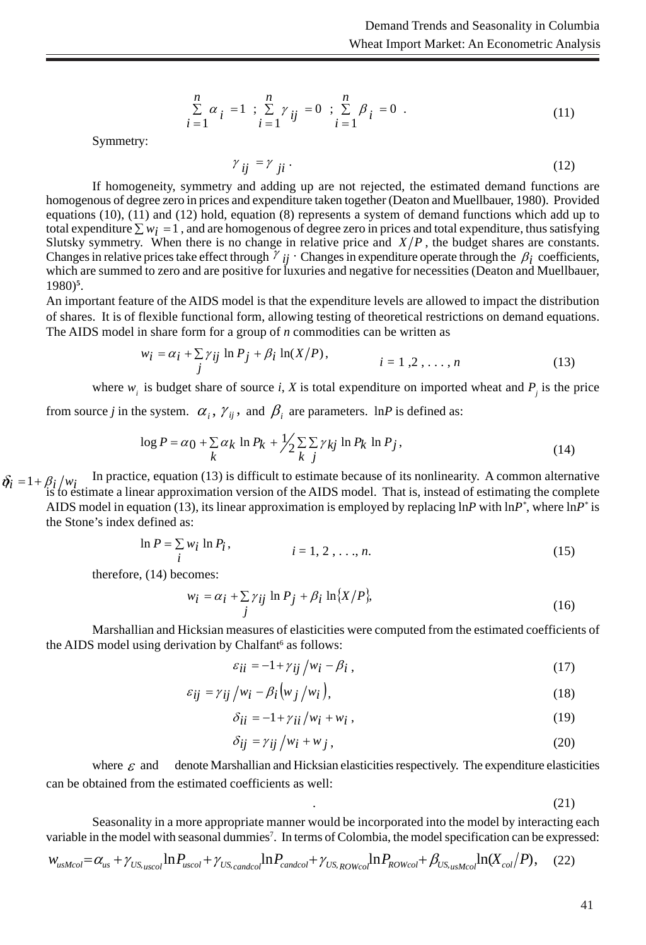$$
\sum_{i=1}^{n} \alpha_{i} = 1 ; \sum_{i=1}^{n} \gamma_{ij} = 0 ; \sum_{i=1}^{n} \beta_{i} = 0 .
$$
 (11)

Symmetry:

$$
\gamma_{ij} = \gamma_{ji} \tag{12}
$$

If homogeneity, symmetry and adding up are not rejected, the estimated demand functions are homogenous of degree zero in prices and expenditure taken together (Deaton and Muellbauer, 1980). Provided equations (10), (11) and (12) hold, equation (8) represents a system of demand functions which add up to total expenditure  $\sum w_i = 1$ , and are homogenous of degree zero in prices and total expenditure, thus satisfying Slutsky symmetry. When there is no change in relative price and  $X/P$ , the budget shares are constants. Changes in relative prices take effect through  $\gamma$  *ij*  $\gamma$  Changes in expenditure operate through the  $\beta_i$  coefficients, which are summed to zero and are positive for luxuries and negative for necessities (Deaton and Muellbauer, 1980)**<sup>5</sup>** .

An important feature of the AIDS model is that the expenditure levels are allowed to impact the distribution of shares. It is of flexible functional form, allowing testing of theoretical restrictions on demand equations. The AIDS model in share form for a group of *n* commodities can be written as

$$
w_i = \alpha_i + \sum_j \gamma_{ij} \ln P_j + \beta_i \ln(X/P),
$$
  
\n $i = 1, 2, ..., n$  (13)

where  $w_i$  is budget share of source *i*, *X* is total expenditure on imported wheat and  $P_j$  is the price

from source *j* in the system.  $\alpha_i$ ,  $\gamma_{ij}$ , and  $\beta_i$  are parameters. lnP is defined as:

$$
\log P = \alpha_0 + \sum_{k} \alpha_k \ln P_k + \frac{1}{2} \sum_{k} \sum_{j} \gamma_{kj} \ln P_k \ln P_j,
$$
\n(14)

 $\delta_i = 1 + \beta_i / w_i$  In practice, equation (13) is difficult to estimate because of its nonlinearity. A common alternative is to estimate a linear approximation version of the AIDS model. That is, instead of estimating the complete AIDS model in equation (13), its linear approximation is employed by replacing lnP with  $lnP^*$ , where  $lnP^*$  is the Stone's index defined as:

$$
\ln P = \sum_{i} w_i \ln P_i, \qquad i = 1, 2, ..., n. \tag{15}
$$

therefore, (14) becomes:

$$
w_i = \alpha_i + \sum_j \gamma_{ij} \ln P_j + \beta_i \ln \{X/P\},\tag{16}
$$

Marshallian and Hicksian measures of elasticities were computed from the estimated coefficients of the AIDS model using derivation by Chalfant<sup>6</sup> as follows:

$$
\varepsilon_{ii} = -1 + \gamma_{ij} / w_i - \beta_i , \qquad (17)
$$

$$
\varepsilon_{ij} = \gamma_{ij} / w_i - \beta_i \big( w_j / w_i \big), \tag{18}
$$

$$
\delta_{ii} = -1 + \gamma_{ii}/w_i + w_i, \qquad (19)
$$

$$
\delta_{ij} = \gamma_{ij} / w_i + w_j, \qquad (20)
$$

where  $\epsilon$  and denote Marshallian and Hicksian elasticities respectively. The expenditure elasticities can be obtained from the estimated coefficients as well:

.  $(21)$ 

Seasonality in a more appropriate manner would be incorporated into the model by interacting each variable in the model with seasonal dummies<sup>7</sup>. In terms of Colombia, the model specification can be expressed:

$$
W_{usMcol} = \alpha_{us} + \gamma_{US_{uscol}} \ln P_{uscol} + \gamma_{US_{candcol}} \ln P_{candcol} + \gamma_{US_{ROWcol}} \ln P_{rowcol} + \beta_{US_{usMcol}} \ln (X_{col}/P), \quad (22)
$$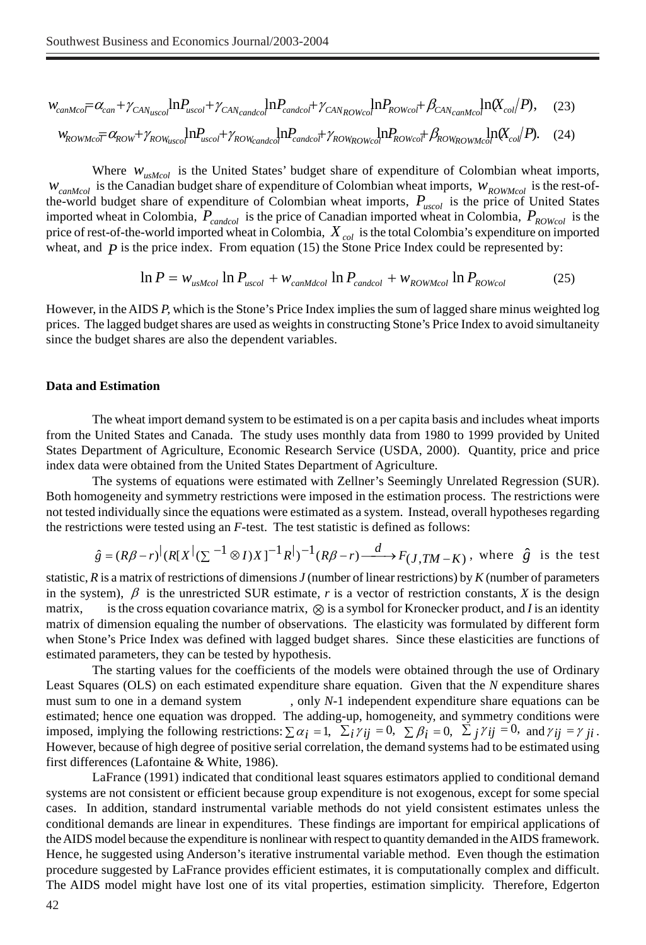$$
w_{\text{canMco}} = \alpha_{\text{can}} + \gamma_{\text{CAN}_{\text{usco}}}\ln P_{\text{usco}} + \gamma_{\text{CAN}_{\text{canded}}}\ln P_{\text{canded}} + \gamma_{\text{CAN}_{\text{ROWco}}}\ln P_{\text{ROWco}} + \beta_{\text{CAN}_{\text{canMco}}}\ln(X_{\text{col}}/P),\tag{23}
$$

$$
W_{ROWMco} \equiv \alpha_{ROW} + \gamma_{ROW_{usco}} \ln P_{usco} + \gamma_{ROW_{canded}} \ln P_{candco} + \gamma_{ROW_{ROWCo} \ln P_{ROWco} + \beta_{ROW_{ROWMco}} \ln \alpha_{co} \ln \alpha_{co} \ln P_{o} \tag{24}
$$

Where  $W_{usMod}$  is the United States' budget share of expenditure of Colombian wheat imports,  $W_{camMcol}$  is the Canadian budget share of expenditure of Colombian wheat imports,  $W_{ROWMcol}$  is the rest-ofthe-world budget share of expenditure of Colombian wheat imports,  $P_{uscol}$  is the price of United States imported wheat in Colombia,  $P_{canded}$  is the price of Canadian imported wheat in Colombia,  $P_{ROWcol}$  is the price of rest-of-the-world imported wheat in Colombia,  $X_{col}$  is the total Colombia's expenditure on imported wheat, and  $\vec{p}$  is the price index. From equation (15) the Stone Price Index could be represented by:

$$
\ln P = w_{usMcol} \ln P_{uscol} + w_{canMdcol} \ln P_{candcol} + w_{ROWMcol} \ln P_{ROWcol}
$$
 (25)

However, in the AIDS *P,* which is the Stone's Price Index implies the sum of lagged share minus weighted log prices. The lagged budget shares are used as weights in constructing Stone's Price Index to avoid simultaneity since the budget shares are also the dependent variables.

### **Data and Estimation**

The wheat import demand system to be estimated is on a per capita basis and includes wheat imports from the United States and Canada. The study uses monthly data from 1980 to 1999 provided by United States Department of Agriculture, Economic Research Service (USDA, 2000). Quantity, price and price index data were obtained from the United States Department of Agriculture.

The systems of equations were estimated with Zellner's Seemingly Unrelated Regression (SUR). Both homogeneity and symmetry restrictions were imposed in the estimation process. The restrictions were not tested individually since the equations were estimated as a system. Instead, overall hypotheses regarding the restrictions were tested using an *F*-test. The test statistic is defined as follows:

$$
\hat{g} = (R\beta - r)^{\vert}(R[X^{\vert}(\sum^{-1} \otimes I)X]^{-1}R^{\vert})^{-1}(R\beta - r) \xrightarrow{d} F_{(J,TM - K)},
$$
 where  $\hat{g}$  is the test

statistic, *R* is a matrix of restrictions of dimensions *J* (number of linear restrictions) by *K* (number of parameters in the system),  $\beta$  is the unrestricted SUR estimate, *r* is a vector of restriction constants, *X* is the design matrix, is the cross equation covariance matrix, ⊗ is a symbol for Kronecker product, and *I* is an identity matrix of dimension equaling the number of observations. The elasticity was formulated by different form when Stone's Price Index was defined with lagged budget shares. Since these elasticities are functions of estimated parameters, they can be tested by hypothesis.

The starting values for the coefficients of the models were obtained through the use of Ordinary Least Squares (OLS) on each estimated expenditure share equation. Given that the *N* expenditure shares must sum to one in a demand system , only *N*-1 independent expenditure share equations can be estimated; hence one equation was dropped. The adding-up, homogeneity, and symmetry conditions were imposed, implying the following restrictions:  $\sum \alpha_i = 1$ ,  $\sum_i \gamma_{ij} = 0$ ,  $\sum_j \gamma_{ij} = 0$ ,  $\sum_j \gamma_{ij} = 0$ , and  $\gamma_{ij} = \gamma_{ji}$ . However, because of high degree of positive serial correlation, the demand systems had to be estimated using first differences (Lafontaine & White, 1986).

LaFrance (1991) indicated that conditional least squares estimators applied to conditional demand systems are not consistent or efficient because group expenditure is not exogenous, except for some special cases. In addition, standard instrumental variable methods do not yield consistent estimates unless the conditional demands are linear in expenditures. These findings are important for empirical applications of the AIDS model because the expenditure is nonlinear with respect to quantity demanded in the AIDS framework. Hence, he suggested using Anderson's iterative instrumental variable method. Even though the estimation procedure suggested by LaFrance provides efficient estimates, it is computationally complex and difficult. The AIDS model might have lost one of its vital properties, estimation simplicity. Therefore, Edgerton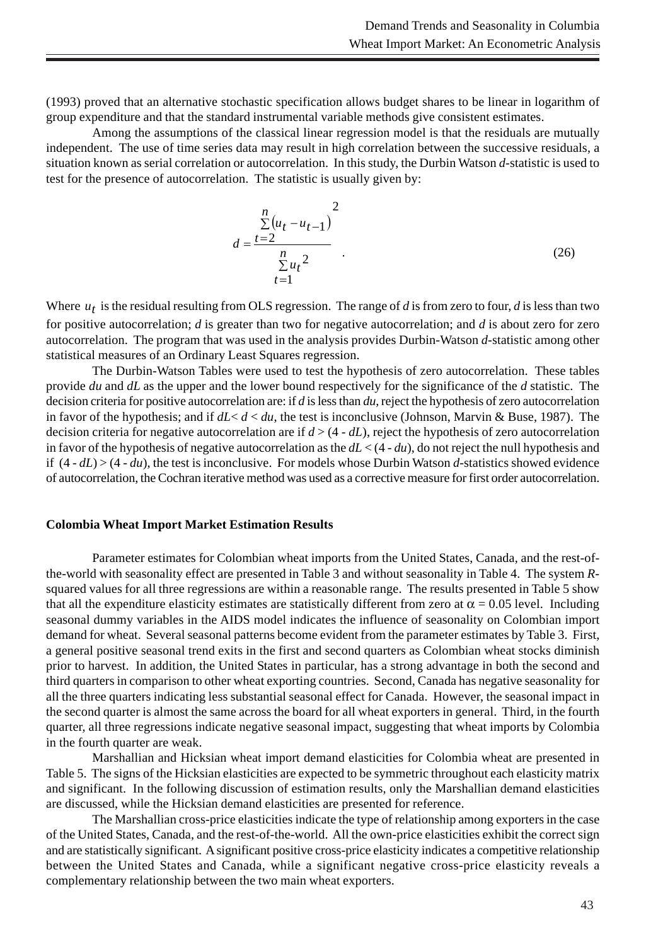(1993) proved that an alternative stochastic specification allows budget shares to be linear in logarithm of group expenditure and that the standard instrumental variable methods give consistent estimates.

Among the assumptions of the classical linear regression model is that the residuals are mutually independent. The use of time series data may result in high correlation between the successive residuals, a situation known as serial correlation or autocorrelation. In this study, the Durbin Watson *d*-statistic is used to test for the presence of autocorrelation. The statistic is usually given by:

$$
d = \frac{\sum_{t=2}^{n} (u_t - u_{t-1})^2}{\sum_{t=1}^{n} u_t^2}
$$
 (26)

Where  $u_t$  is the residual resulting from OLS regression. The range of *d* is from zero to four, *d* is less than two for positive autocorrelation; *d* is greater than two for negative autocorrelation; and *d* is about zero for zero autocorrelation. The program that was used in the analysis provides Durbin-Watson *d*-statistic among other statistical measures of an Ordinary Least Squares regression.

The Durbin-Watson Tables were used to test the hypothesis of zero autocorrelation. These tables provide *du* and *dL* as the upper and the lower bound respectively for the significance of the *d* statistic. The decision criteria for positive autocorrelation are: if *d* is less than *du,* reject the hypothesis of zero autocorrelation in favor of the hypothesis; and if  $dL < d < du$ , the test is inconclusive (Johnson, Marvin & Buse, 1987). The decision criteria for negative autocorrelation are if *d* > (4 - *dL*), reject the hypothesis of zero autocorrelation in favor of the hypothesis of negative autocorrelation as the *dL* < (4 - *du*), do not reject the null hypothesis and if (4 - *dL*) > (4 - *du*), the test is inconclusive. For models whose Durbin Watson *d*-statistics showed evidence of autocorrelation, the Cochran iterative method was used as a corrective measure for first order autocorrelation.

### **Colombia Wheat Import Market Estimation Results**

Parameter estimates for Colombian wheat imports from the United States, Canada, and the rest-ofthe-world with seasonality effect are presented in Table 3 and without seasonality in Table 4. The system *R*squared values for all three regressions are within a reasonable range. The results presented in Table 5 show that all the expenditure elasticity estimates are statistically different from zero at  $\alpha = 0.05$  level. Including seasonal dummy variables in the AIDS model indicates the influence of seasonality on Colombian import demand for wheat. Several seasonal patterns become evident from the parameter estimates by Table 3. First, a general positive seasonal trend exits in the first and second quarters as Colombian wheat stocks diminish prior to harvest. In addition, the United States in particular, has a strong advantage in both the second and third quarters in comparison to other wheat exporting countries. Second, Canada has negative seasonality for all the three quarters indicating less substantial seasonal effect for Canada. However, the seasonal impact in the second quarter is almost the same across the board for all wheat exporters in general. Third, in the fourth quarter, all three regressions indicate negative seasonal impact, suggesting that wheat imports by Colombia in the fourth quarter are weak.

Marshallian and Hicksian wheat import demand elasticities for Colombia wheat are presented in Table 5. The signs of the Hicksian elasticities are expected to be symmetric throughout each elasticity matrix and significant. In the following discussion of estimation results, only the Marshallian demand elasticities are discussed, while the Hicksian demand elasticities are presented for reference.

The Marshallian cross-price elasticities indicate the type of relationship among exporters in the case of the United States, Canada, and the rest-of-the-world. All the own-price elasticities exhibit the correct sign and are statistically significant. A significant positive cross-price elasticity indicates a competitive relationship between the United States and Canada, while a significant negative cross-price elasticity reveals a complementary relationship between the two main wheat exporters.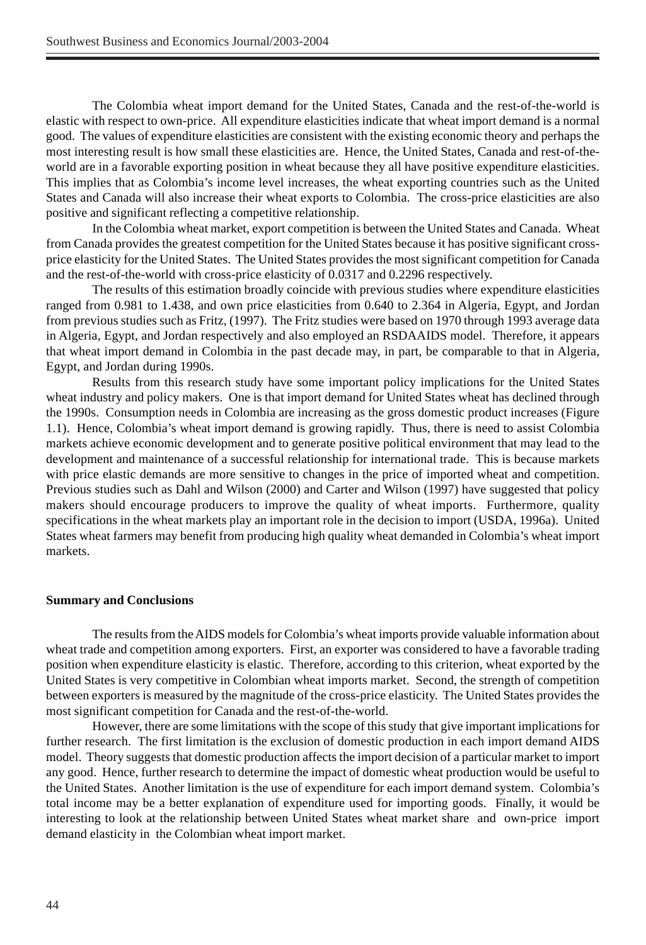The Colombia wheat import demand for the United States, Canada and the rest-of-the-world is elastic with respect to own-price. All expenditure elasticities indicate that wheat import demand is a normal good. The values of expenditure elasticities are consistent with the existing economic theory and perhaps the most interesting result is how small these elasticities are. Hence, the United States, Canada and rest-of-theworld are in a favorable exporting position in wheat because they all have positive expenditure elasticities. This implies that as Colombia's income level increases, the wheat exporting countries such as the United States and Canada will also increase their wheat exports to Colombia. The cross-price elasticities are also positive and significant reflecting a competitive relationship.

In the Colombia wheat market, export competition is between the United States and Canada. Wheat from Canada provides the greatest competition for the United States because it has positive significant crossprice elasticity for the United States. The United States provides the most significant competition for Canada and the rest-of-the-world with cross-price elasticity of 0.0317 and 0.2296 respectively.

The results of this estimation broadly coincide with previous studies where expenditure elasticities ranged from 0.981 to 1.438, and own price elasticities from 0.640 to 2.364 in Algeria, Egypt, and Jordan from previous studies such as Fritz, (1997). The Fritz studies were based on 1970 through 1993 average data in Algeria, Egypt, and Jordan respectively and also employed an RSDAAIDS model. Therefore, it appears that wheat import demand in Colombia in the past decade may, in part, be comparable to that in Algeria, Egypt, and Jordan during 1990s.

Results from this research study have some important policy implications for the United States wheat industry and policy makers. One is that import demand for United States wheat has declined through the 1990s. Consumption needs in Colombia are increasing as the gross domestic product increases (Figure 1.1). Hence, Colombia's wheat import demand is growing rapidly. Thus, there is need to assist Colombia markets achieve economic development and to generate positive political environment that may lead to the development and maintenance of a successful relationship for international trade. This is because markets with price elastic demands are more sensitive to changes in the price of imported wheat and competition. Previous studies such as Dahl and Wilson (2000) and Carter and Wilson (1997) have suggested that policy makers should encourage producers to improve the quality of wheat imports. Furthermore, quality specifications in the wheat markets play an important role in the decision to import (USDA, 1996a). United States wheat farmers may benefit from producing high quality wheat demanded in Colombia's wheat import markets.

### **Summary and Conclusions**

The results from the AIDS models for Colombia's wheat imports provide valuable information about wheat trade and competition among exporters. First, an exporter was considered to have a favorable trading position when expenditure elasticity is elastic. Therefore, according to this criterion, wheat exported by the United States is very competitive in Colombian wheat imports market. Second, the strength of competition between exporters is measured by the magnitude of the cross-price elasticity. The United States provides the most significant competition for Canada and the rest-of-the-world.

However, there are some limitations with the scope of this study that give important implications for further research. The first limitation is the exclusion of domestic production in each import demand AIDS model. Theory suggests that domestic production affects the import decision of a particular market to import any good. Hence, further research to determine the impact of domestic wheat production would be useful to the United States. Another limitation is the use of expenditure for each import demand system. Colombia's total income may be a better explanation of expenditure used for importing goods. Finally, it would be interesting to look at the relationship between United States wheat market share and own-price import demand elasticity in the Colombian wheat import market.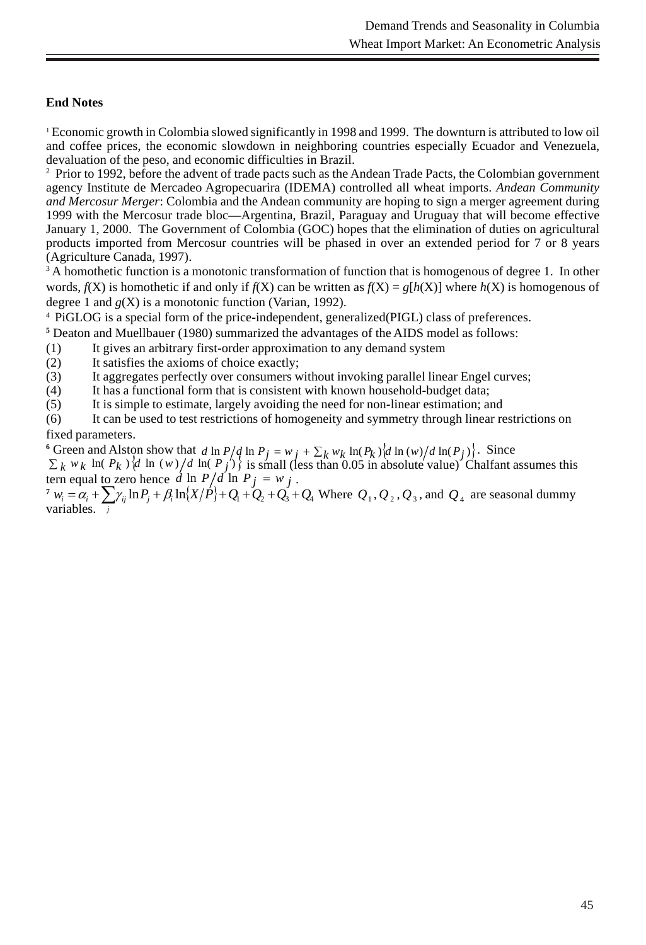## **End Notes**

<sup>1</sup> Economic growth in Colombia slowed significantly in 1998 and 1999. The downturn is attributed to low oil and coffee prices, the economic slowdown in neighboring countries especially Ecuador and Venezuela, devaluation of the peso, and economic difficulties in Brazil.

<sup>2</sup> Prior to 1992, before the advent of trade pacts such as the Andean Trade Pacts, the Colombian government agency Institute de Mercadeo Agropecuarira (IDEMA) controlled all wheat imports. *Andean Community and Mercosur Merger*: Colombia and the Andean community are hoping to sign a merger agreement during 1999 with the Mercosur trade bloc—Argentina, Brazil, Paraguay and Uruguay that will become effective January 1, 2000. The Government of Colombia (GOC) hopes that the elimination of duties on agricultural products imported from Mercosur countries will be phased in over an extended period for 7 or 8 years (Agriculture Canada, 1997).

<sup>3</sup> A homothetic function is a monotonic transformation of function that is homogenous of degree 1. In other words,  $f(X)$  is homothetic if and only if  $f(X)$  can be written as  $f(X) = g[h(X)]$  where  $h(X)$  is homogenous of degree 1 and *g*(X) is a monotonic function (Varian, 1992).

<sup>4</sup> PiGLOG is a special form of the price-independent, generalized(PIGL) class of preferences.

**5** Deaton and Muellbauer (1980) summarized the advantages of the AIDS model as follows:

- (1) It gives an arbitrary first-order approximation to any demand system
- (2) It satisfies the axioms of choice exactly;

(3) It aggregates perfectly over consumers without invoking parallel linear Engel curves;

(4) It has a functional form that is consistent with known household-budget data;

(5) It is simple to estimate, largely avoiding the need for non-linear estimation; and

(6) It can be used to test restrictions of homogeneity and symmetry through linear restrictions on fixed parameters.

<sup>6</sup> Green and Alston show that *d* ln  $P/d \ln P_j = w_j + \sum_k w_k \ln(P_k) d \ln(w)/d \ln(P_j)$ . Since  $\sum_k w_k$  ln(  $P_k$  ) $\frac{d}{dx}$  ln (*w*)  $\frac{d}{dx}$  ln( $\frac{P}{f}$ ) $\frac{d}{dx}$  is small (less than 0.05 in absolute value) Chalfant assumes this

tern equal <u>to</u> zero hence  $d \ln P/d \ln P_j = w_j$ .  $Z^7 w_i = \alpha_i + \sum \gamma_{ij} \ln P_j + \beta_i \ln \{X/P\} + Q_1 + Q_2 + Q_3 + Q_4$  Where  $Q_1, Q_2, Q_3$ , and  $Q_4$  are seasonal dummy variables.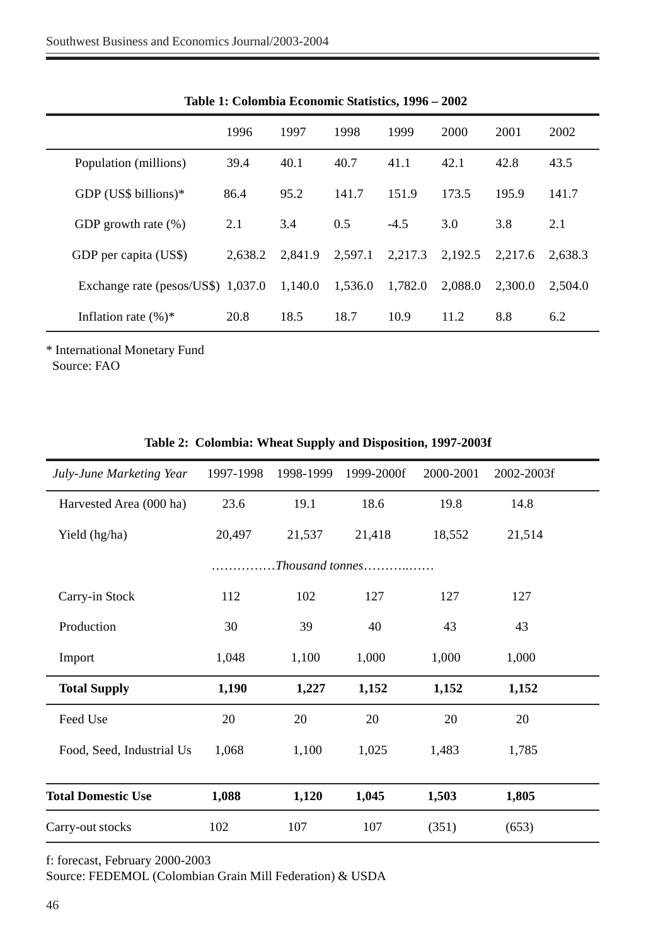| $1000 \text{ m}$                   |         |         |         |         |         |         |         |
|------------------------------------|---------|---------|---------|---------|---------|---------|---------|
|                                    | 1996    | 1997    | 1998    | 1999    | 2000    | 2001    | 2002    |
| Population (millions)              | 39.4    | 40.1    | 40.7    | 41.1    | 42.1    | 42.8    | 43.5    |
| GDP (US\$ billions) $*$            | 86.4    | 95.2    | 141.7   | 151.9   | 173.5   | 195.9   | 141.7   |
| GDP growth rate $(\%)$             | 2.1     | 3.4     | 0.5     | $-4.5$  | 3.0     | 3.8     | 2.1     |
| GDP per capita (US\$)              | 2.638.2 | 2.841.9 | 2,597.1 | 2,217.3 | 2.192.5 | 2.217.6 | 2.638.3 |
| Exchange rate (pesos/US\$) 1,037.0 |         | 1,140.0 | 1,536.0 | 1.782.0 | 2.088.0 | 2.300.0 | 2.504.0 |
| Inflation rate $(\%)^*$            | 20.8    | 18.5    | 18.7    | 10.9    | 11.2    | 8.8     | 6.2     |

**Table 1: Colombia Economic Statistics, 1996 – 2002**

\* International Monetary Fund Source: FAO

| July-June Marketing Year  | 1997-1998 | 1998-1999 | 1999-2000f | 2000-2001 | 2002-2003f |  |
|---------------------------|-----------|-----------|------------|-----------|------------|--|
| Harvested Area (000 ha)   | 23.6      | 19.1      | 18.6       | 19.8      | 14.8       |  |
| Yield (hg/ha)             | 20,497    | 21,537    | 21,418     | 18,552    | 21,514     |  |
| $. The usual$ tonnes      |           |           |            |           |            |  |
| Carry-in Stock            | 112       | 102       | 127        | 127       | 127        |  |
| Production                | 30        | 39        | 40         | 43        | 43         |  |
| Import                    | 1,048     | 1,100     | 1,000      | 1,000     | 1,000      |  |
| <b>Total Supply</b>       | 1,190     | 1,227     | 1,152      | 1,152     | 1,152      |  |
| Feed Use                  | 20        | 20        | 20         | 20        | 20         |  |
| Food, Seed, Industrial Us | 1,068     | 1,100     | 1,025      | 1,483     | 1,785      |  |
|                           |           |           |            |           |            |  |
| <b>Total Domestic Use</b> | 1,088     | 1,120     | 1,045      | 1,503     | 1,805      |  |
| Carry-out stocks          | 102       | 107       | 107        | (351)     | (653)      |  |

## **Table 2: Colombia: Wheat Supply and Disposition, 1997-2003f**

f: forecast, February 2000-2003

Source: FEDEMOL (Colombian Grain Mill Federation) & USDA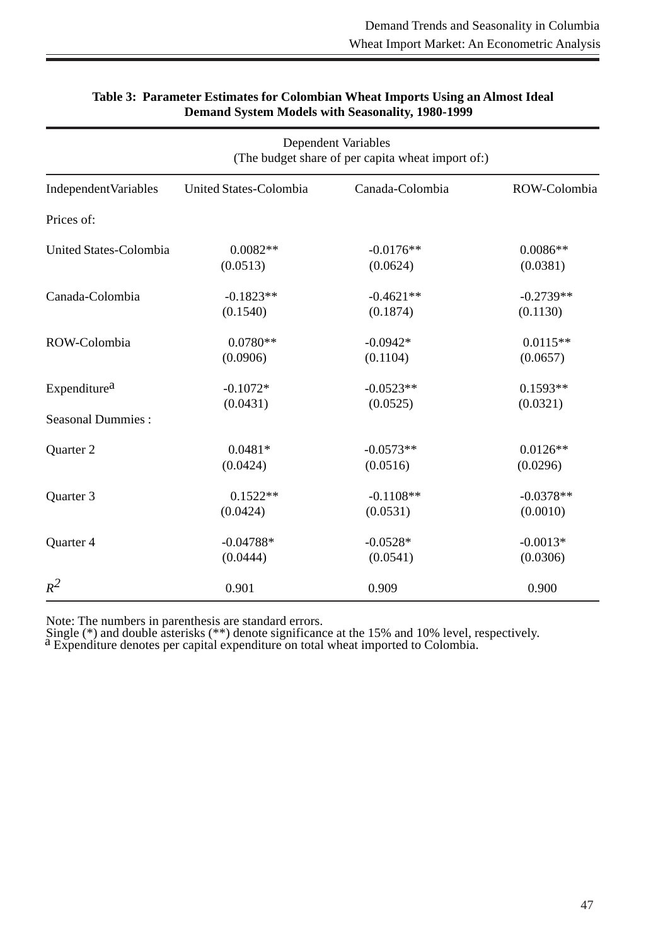|                              | <b>Dependent Variables</b><br>(The budget share of per capita wheat import of:) |                 |              |  |
|------------------------------|---------------------------------------------------------------------------------|-----------------|--------------|--|
| <b>Independent Variables</b> | United States-Colombia                                                          | Canada-Colombia | ROW-Colombia |  |
| Prices of:                   |                                                                                 |                 |              |  |
| United States-Colombia       | $0.0082**$                                                                      | $-0.0176**$     | $0.0086**$   |  |
|                              | (0.0513)                                                                        | (0.0624)        | (0.0381)     |  |
| Canada-Colombia              | $-0.1823**$                                                                     | $-0.4621**$     | $-0.2739**$  |  |
|                              | (0.1540)                                                                        | (0.1874)        | (0.1130)     |  |
| ROW-Colombia                 | $0.0780**$                                                                      | $-0.0942*$      | $0.0115**$   |  |
|                              | (0.0906)                                                                        | (0.1104)        | (0.0657)     |  |
| Expenditure <sup>a</sup>     | $-0.1072*$                                                                      | $-0.0523**$     | $0.1593**$   |  |
|                              | (0.0431)                                                                        | (0.0525)        | (0.0321)     |  |
| <b>Seasonal Dummies:</b>     |                                                                                 |                 |              |  |
| Quarter 2                    | $0.0481*$                                                                       | $-0.0573**$     | $0.0126**$   |  |
|                              | (0.0424)                                                                        | (0.0516)        | (0.0296)     |  |
| Quarter 3                    | $0.1522**$                                                                      | $-0.1108**$     | $-0.0378**$  |  |
|                              | (0.0424)                                                                        | (0.0531)        | (0.0010)     |  |
| Quarter 4                    | $-0.04788*$                                                                     | $-0.0528*$      | $-0.0013*$   |  |
|                              | (0.0444)                                                                        | (0.0541)        | (0.0306)     |  |
| $R^2$                        | 0.901                                                                           | 0.909           | 0.900        |  |

## **Table 3: Parameter Estimates for Colombian Wheat Imports Using an Almost Ideal Demand System Models with Seasonality, 1980-1999**

Note: The numbers in parenthesis are standard errors.

Single (\*) and double asterisks (\*\*) denote significance at the 15% and 10% level, respectively.  $a$  Expenditure denotes per capital expenditure on total wheat imported to Colombia.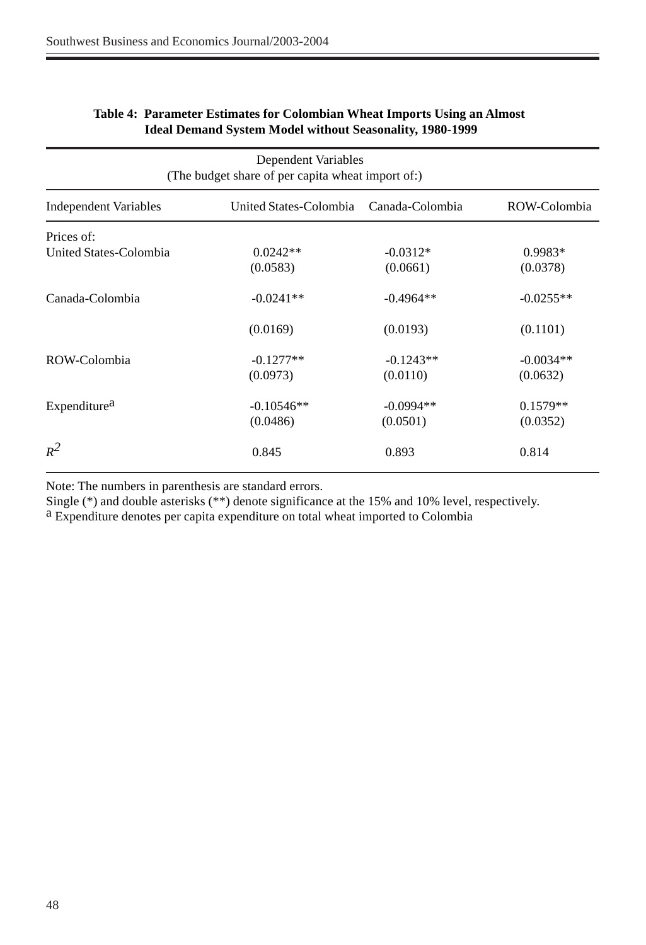| Dependent Variables<br>(The budget share of per capita wheat import of:) |                                        |             |              |  |
|--------------------------------------------------------------------------|----------------------------------------|-------------|--------------|--|
| <b>Independent Variables</b>                                             | United States-Colombia Canada-Colombia |             | ROW-Colombia |  |
| Prices of:                                                               | $0.0242**$                             | $-0.0312*$  | $0.9983*$    |  |
| United States-Colombia                                                   | (0.0583)                               | (0.0661)    | (0.0378)     |  |
| Canada-Colombia                                                          | $-0.0241**$                            | $-0.4964**$ | $-0.0255**$  |  |
|                                                                          | (0.0169)                               | (0.0193)    | (0.1101)     |  |
| ROW-Colombia                                                             | $-0.1277**$                            | $-0.1243**$ | $-0.0034**$  |  |
|                                                                          | (0.0973)                               | (0.0110)    | (0.0632)     |  |
| Expenditure <sup>a</sup>                                                 | $-0.10546**$                           | $-0.0994**$ | $0.1579**$   |  |
|                                                                          | (0.0486)                               | (0.0501)    | (0.0352)     |  |
| $R^2$                                                                    | 0.845                                  | 0.893       | 0.814        |  |

## **Table 4: Parameter Estimates for Colombian Wheat Imports Using an Almost Ideal Demand System Model without Seasonality, 1980-1999**

Note: The numbers in parenthesis are standard errors.

Single (\*) and double asterisks (\*\*) denote significance at the 15% and 10% level, respectively.

a Expenditure denotes per capita expenditure on total wheat imported to Colombia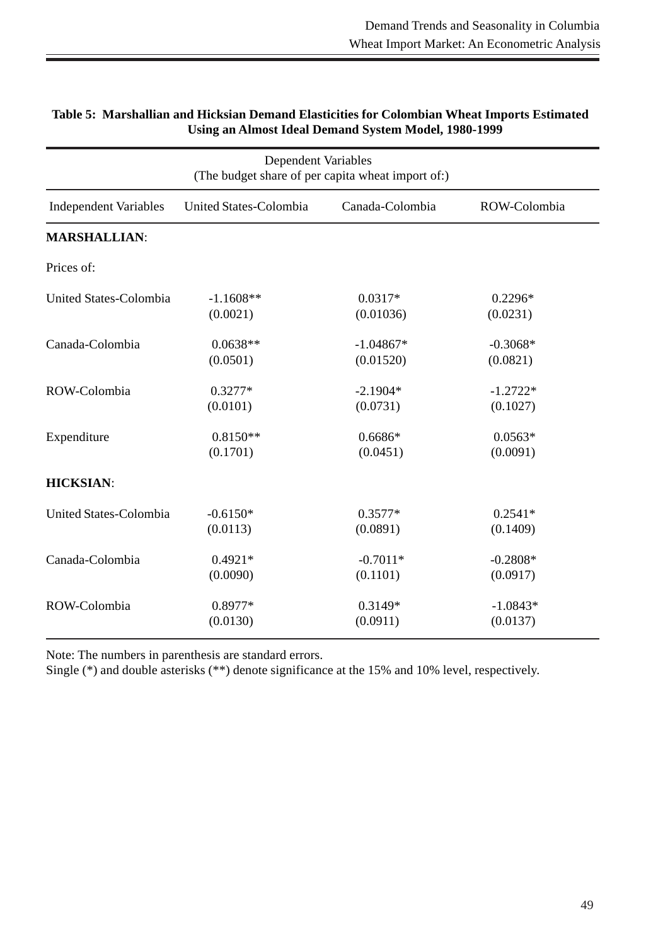| Dependent Variables<br>(The budget share of per capita wheat import of:) |                        |                 |              |  |
|--------------------------------------------------------------------------|------------------------|-----------------|--------------|--|
| <b>Independent Variables</b>                                             | United States-Colombia | Canada-Colombia | ROW-Colombia |  |
| <b>MARSHALLIAN:</b>                                                      |                        |                 |              |  |
| Prices of:                                                               |                        |                 |              |  |
| United States-Colombia                                                   | $-1.1608**$            | $0.0317*$       | $0.2296*$    |  |
|                                                                          | (0.0021)               | (0.01036)       | (0.0231)     |  |
| Canada-Colombia                                                          | $0.0638**$             | $-1.04867*$     | $-0.3068*$   |  |
|                                                                          | (0.0501)               | (0.01520)       | (0.0821)     |  |
| ROW-Colombia                                                             | $0.3277*$              | $-2.1904*$      | $-1.2722*$   |  |
|                                                                          | (0.0101)               | (0.0731)        | (0.1027)     |  |
| Expenditure                                                              | $0.8150**$             | $0.6686*$       | $0.0563*$    |  |
|                                                                          | (0.1701)               | (0.0451)        | (0.0091)     |  |
| <b>HICKSIAN:</b>                                                         |                        |                 |              |  |
| United States-Colombia                                                   | $-0.6150*$             | $0.3577*$       | $0.2541*$    |  |
|                                                                          | (0.0113)               | (0.0891)        | (0.1409)     |  |
| Canada-Colombia                                                          | $0.4921*$              | $-0.7011*$      | $-0.2808*$   |  |
|                                                                          | (0.0090)               | (0.1101)        | (0.0917)     |  |
| ROW-Colombia                                                             | 0.8977*                | $0.3149*$       | $-1.0843*$   |  |
|                                                                          | (0.0130)               | (0.0911)        | (0.0137)     |  |

## **Table 5: Marshallian and Hicksian Demand Elasticities for Colombian Wheat Imports Estimated Using an Almost Ideal Demand System Model, 1980-1999**

Note: The numbers in parenthesis are standard errors.

Single (\*) and double asterisks (\*\*) denote significance at the 15% and 10% level, respectively.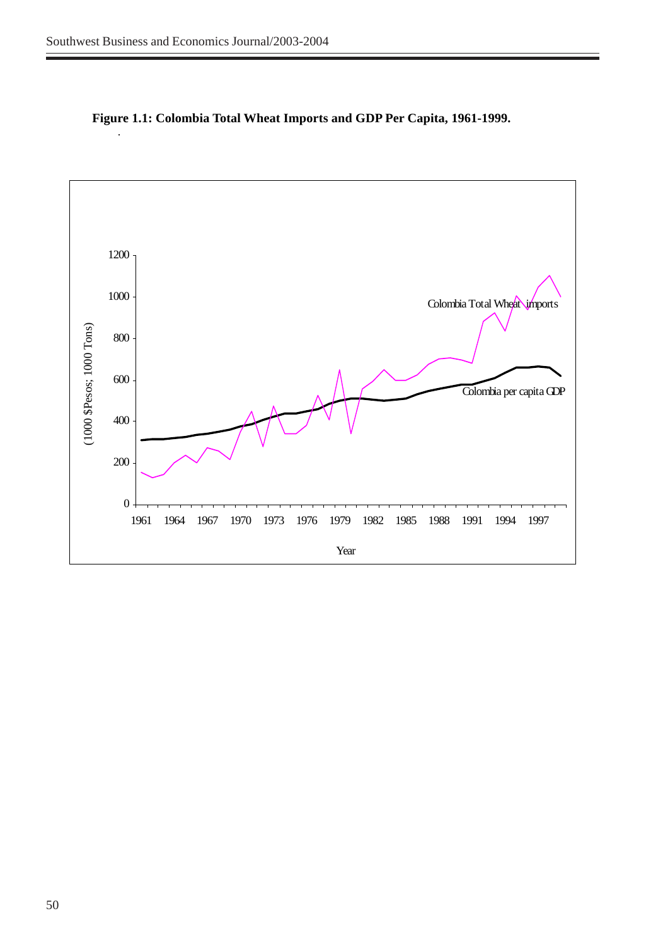

**Figure 1.1: Colombia Total Wheat Imports and GDP Per Capita, 1961-1999.**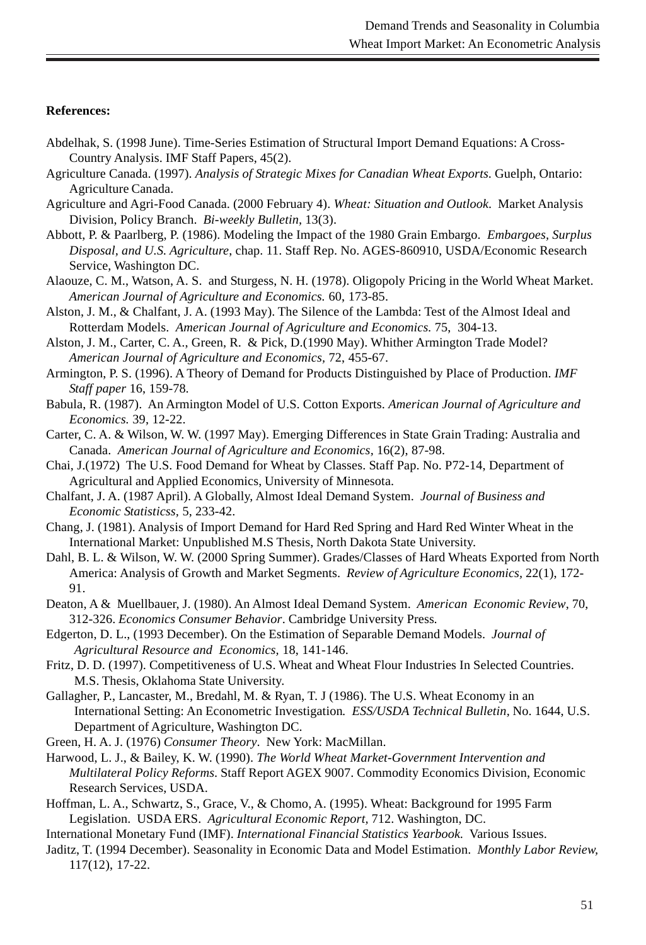## **References:**

- Abdelhak, S. (1998 June). Time-Series Estimation of Structural Import Demand Equations: A Cross-Country Analysis. IMF Staff Papers, 45(2).
- Agriculture Canada. (1997). *Analysis of Strategic Mixes for Canadian Wheat Exports*. Guelph, Ontario: Agriculture Canada.
- Agriculture and Agri-Food Canada. (2000 February 4). *Wheat: Situation and Outlook*. Market Analysis Division, Policy Branch. *Bi-weekly Bulletin,* 13(3).
- Abbott, P. & Paarlberg, P. (1986). Modeling the Impact of the 1980 Grain Embargo. *Embargoes, Surplus Disposal, and U.S. Agriculture*, chap. 11. Staff Rep. No. AGES-860910, USDA/Economic Research Service, Washington DC.
- Alaouze, C. M., Watson, A. S. and Sturgess, N. H. (1978). Oligopoly Pricing in the World Wheat Market. *American Journal of Agriculture and Economics.* 60, 173-85.
- Alston, J. M., & Chalfant, J. A. (1993 May). The Silence of the Lambda: Test of the Almost Ideal and Rotterdam Models. *American Journal of Agriculture and Economics.* 75, 304-13.
- Alston, J. M., Carter, C. A., Green, R. & Pick, D.(1990 May). Whither Armington Trade Model? *American Journal of Agriculture and Economics,* 72, 455-67.
- Armington, P. S. (1996). A Theory of Demand for Products Distinguished by Place of Production. *IMF Staff paper* 16, 159-78*.*
- Babula, R. (1987). An Armington Model of U.S. Cotton Exports. *American Journal of Agriculture and Economics.* 39, 12-22.
- Carter, C. A. & Wilson, W. W. (1997 May). Emerging Differences in State Grain Trading: Australia and Canada. *American Journal of Agriculture and Economics,* 16(2), 87-98.
- Chai, J.(1972) The U.S. Food Demand for Wheat by Classes. Staff Pap. No. P72-14, Department of Agricultural and Applied Economics, University of Minnesota.
- Chalfant, J. A. (1987 April). A Globally, Almost Ideal Demand System. *Journal of Business and Economic Statisticss,* 5, 233-42.
- Chang, J. (1981). Analysis of Import Demand for Hard Red Spring and Hard Red Winter Wheat in the International Market: Unpublished M.S Thesis, North Dakota State University.
- Dahl, B. L. & Wilson, W. W. (2000 Spring Summer). Grades/Classes of Hard Wheats Exported from North America: Analysis of Growth and Market Segments. *Review of Agriculture Economics,* 22(1), 172- 91.
- Deaton, A & Muellbauer, J. (1980). An Almost Ideal Demand System. *American Economic Review*, 70, 312-326. *Economics Consumer Behavior*. Cambridge University Press*.*
- Edgerton, D. L., (1993 December). On the Estimation of Separable Demand Models. *Journal of Agricultural Resource and Economics,* 18, 141-146.
- Fritz, D. D. (1997). Competitiveness of U.S. Wheat and Wheat Flour Industries In Selected Countries. M.S. Thesis, Oklahoma State University.
- Gallagher, P., Lancaster, M., Bredahl, M. & Ryan, T. J (1986). The U.S. Wheat Economy in an International Setting: An Econometric Investigation*. ESS/USDA Technical Bulletin,* No. 1644, U.S. Department of Agriculture, Washington DC.

Green, H. A. J. (1976) *Consumer Theory*. New York: MacMillan.

- Harwood, L. J., & Bailey, K. W. (1990). *The World Wheat Market-Government Intervention and Multilateral Policy Reforms*. Staff Report AGEX 9007. Commodity Economics Division, Economic Research Services, USDA.
- Hoffman, L. A., Schwartz, S., Grace, V., & Chomo, A. (1995). Wheat: Background for 1995 Farm Legislation. USDA ERS. *Agricultural Economic Report,* 712. Washington, DC.

International Monetary Fund (IMF). *International Financial Statistics Yearbook.* Various Issues.

Jaditz, T. (1994 December). Seasonality in Economic Data and Model Estimation. *Monthly Labor Review,* 117(12), 17-22.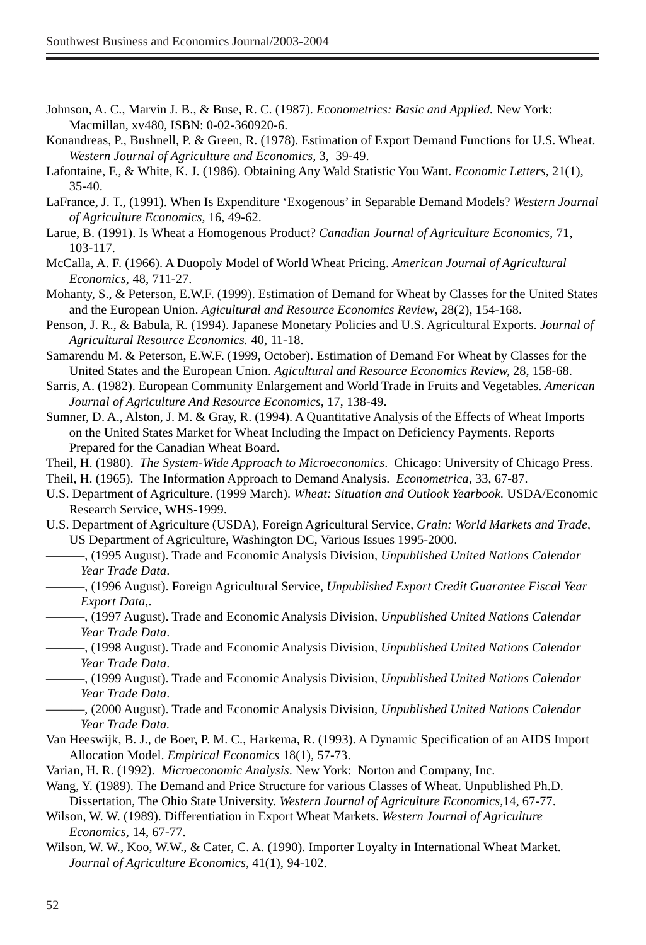- Johnson, A. C., Marvin J. B., & Buse, R. C. (1987). *Econometrics: Basic and Applied.* New York: Macmillan, xv480, ISBN: 0-02-360920-6.
- Konandreas, P., Bushnell, P. & Green, R. (1978). Estimation of Export Demand Functions for U.S. Wheat. *Western Journal of Agriculture and Economics,* 3, 39-49.
- Lafontaine, F., & White, K. J. (1986). Obtaining Any Wald Statistic You Want. *Economic Letters,* 21(1), 35-40.
- LaFrance, J. T., (1991). When Is Expenditure 'Exogenous' in Separable Demand Models? *Western Journal of Agriculture Economics,* 16, 49-62.
- Larue, B. (1991). Is Wheat a Homogenous Product? *Canadian Journal of Agriculture Economics,* 71, 103-117.
- McCalla, A. F. (1966). A Duopoly Model of World Wheat Pricing. *American Journal of Agricultural Economics*, 48, 711-27.
- Mohanty, S., & Peterson, E.W.F. (1999). Estimation of Demand for Wheat by Classes for the United States and the European Union. *Agicultural and Resource Economics Review*, 28(2), 154-168.
- Penson, J. R., & Babula, R. (1994). Japanese Monetary Policies and U.S. Agricultural Exports. *Journal of Agricultural Resource Economics.* 40, 11-18.
- Samarendu M. & Peterson, E.W.F. (1999, October). Estimation of Demand For Wheat by Classes for the United States and the European Union. *Agicultural and Resource Economics Review,* 28, 158-68.
- Sarris, A. (1982). European Community Enlargement and World Trade in Fruits and Vegetables. *American Journal of Agriculture And Resource Economics,* 17, 138-49.
- Sumner, D. A., Alston, J. M. & Gray, R. (1994). A Quantitative Analysis of the Effects of Wheat Imports on the United States Market for Wheat Including the Impact on Deficiency Payments. Reports Prepared for the Canadian Wheat Board.
- Theil, H. (1980). *The System-Wide Approach to Microeconomics*. Chicago: University of Chicago Press.
- Theil, H. (1965). The Information Approach to Demand Analysis. *Econometrica,* 33, 67-87.
- U.S. Department of Agriculture. (1999 March). *Wheat: Situation and Outlook Yearbook.* USDA/Economic Research Service, WHS-1999.
- U.S. Department of Agriculture (USDA), Foreign Agricultural Service, *Grain: World Markets and Trade*, US Department of Agriculture, Washington DC, Various Issues 1995-2000.
- ———, (1995 August). Trade and Economic Analysis Division, *Unpublished United Nations Calendar Year Trade Data*.
- ———, (1996 August). Foreign Agricultural Service, *Unpublished Export Credit Guarantee Fiscal Year Export Data*,.
- ———, (1997 August). Trade and Economic Analysis Division, *Unpublished United Nations Calendar Year Trade Data*.
- ———, (1998 August). Trade and Economic Analysis Division, *Unpublished United Nations Calendar Year Trade Data*.
- ———, (1999 August). Trade and Economic Analysis Division, *Unpublished United Nations Calendar Year Trade Data*.
- ———, (2000 August). Trade and Economic Analysis Division, *Unpublished United Nations Calendar Year Trade Data.*
- Van Heeswijk, B. J., de Boer, P. M. C., Harkema, R. (1993). A Dynamic Specification of an AIDS Import Allocation Model. *Empirical Economics* 18(1), 57-73.
- Varian, H. R. (1992). *Microeconomic Analysis*. New York: Norton and Company, Inc.
- Wang, Y. (1989). The Demand and Price Structure for various Classes of Wheat. Unpublished Ph.D. Dissertation, The Ohio State University. *Western Journal of Agriculture Economics,*14, 67-77.
- Wilson, W. W. (1989). Differentiation in Export Wheat Markets. *Western Journal of Agriculture Economics,* 14, 67-77.
- Wilson, W. W., Koo, W.W., & Cater, C. A. (1990). Importer Loyalty in International Wheat Market. *Journal of Agriculture Economics,* 41(1), 94-102.